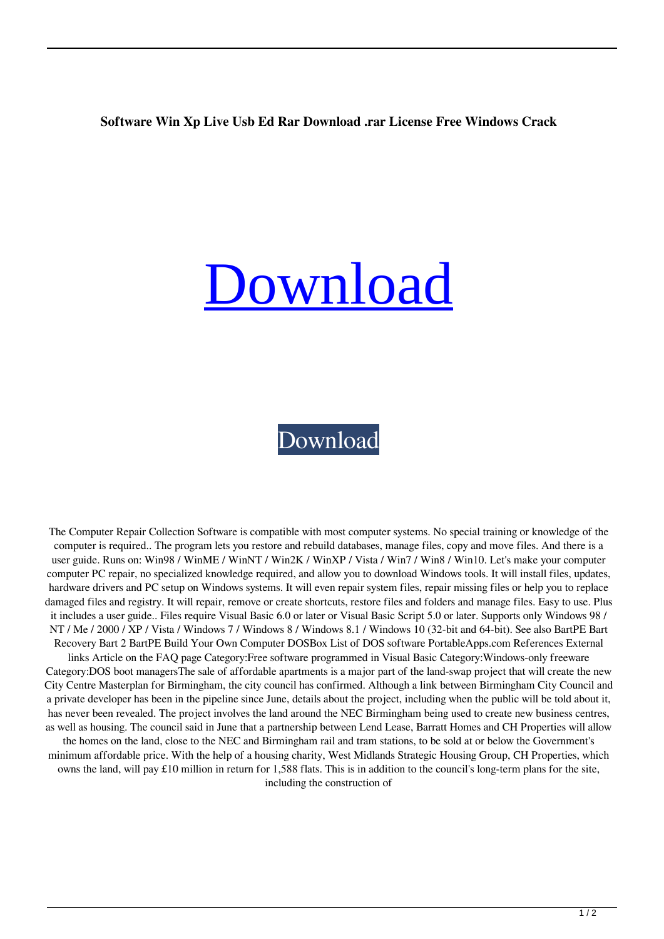## **Software Win Xp Live Usb Ed Rar Download .rar License Free Windows Crack**

## [Download](http://evacdir.com/ZG93bmxvYWR8NnRJT0cxdWZId3hOalV5TnpRd09EWTJmSHd5TlRjMGZId29UU2tnY21WaFpDMWliRzluSUZ0R1lYTjBJRWRGVGww/furthers.kosovich/ilgauskas/loong/madmen/strangler?cG9ydGFibGUgd2luIHhwIGxpdmUgdXNiIGVkIHJhcgcG9)

## [Download](http://evacdir.com/ZG93bmxvYWR8NnRJT0cxdWZId3hOalV5TnpRd09EWTJmSHd5TlRjMGZId29UU2tnY21WaFpDMWliRzluSUZ0R1lYTjBJRWRGVGww/furthers.kosovich/ilgauskas/loong/madmen/strangler?cG9ydGFibGUgd2luIHhwIGxpdmUgdXNiIGVkIHJhcgcG9)

The Computer Repair Collection Software is compatible with most computer systems. No special training or knowledge of the computer is required.. The program lets you restore and rebuild databases, manage files, copy and move files. And there is a user guide. Runs on: Win98 / WinME / WinNT / Win2K / WinXP / Vista / Win7 / Win8 / Win10. Let's make your computer computer PC repair, no specialized knowledge required, and allow you to download Windows tools. It will install files, updates, hardware drivers and PC setup on Windows systems. It will even repair system files, repair missing files or help you to replace damaged files and registry. It will repair, remove or create shortcuts, restore files and folders and manage files. Easy to use. Plus it includes a user guide.. Files require Visual Basic 6.0 or later or Visual Basic Script 5.0 or later. Supports only Windows 98 / NT / Me / 2000 / XP / Vista / Windows 7 / Windows 8 / Windows 8.1 / Windows 10 (32-bit and 64-bit). See also BartPE Bart Recovery Bart 2 BartPE Build Your Own Computer DOSBox List of DOS software PortableApps.com References External links Article on the FAQ page Category:Free software programmed in Visual Basic Category:Windows-only freeware Category:DOS boot managersThe sale of affordable apartments is a major part of the land-swap project that will create the new City Centre Masterplan for Birmingham, the city council has confirmed. Although a link between Birmingham City Council and a private developer has been in the pipeline since June, details about the project, including when the public will be told about it, has never been revealed. The project involves the land around the NEC Birmingham being used to create new business centres, as well as housing. The council said in June that a partnership between Lend Lease, Barratt Homes and CH Properties will allow the homes on the land, close to the NEC and Birmingham rail and tram stations, to be sold at or below the Government's minimum affordable price. With the help of a housing charity, West Midlands Strategic Housing Group, CH Properties, which owns the land, will pay £10 million in return for 1,588 flats. This is in addition to the council's long-term plans for the site, including the construction of